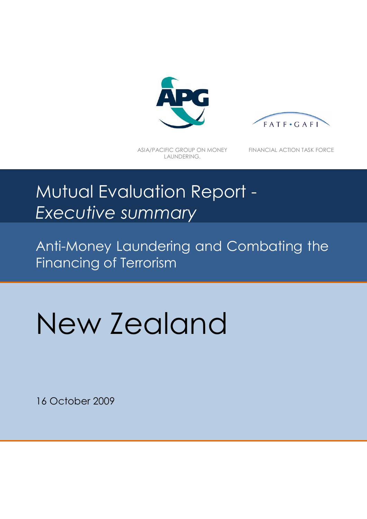



ASIA/PACIFIC GROUP ON MONEY LAUNDERING.

FINANCIAL ACTION TASK FORCE

# Mutual Evaluation Report - *Executive summary*

Anti-Money Laundering and Combating the Financing of Terrorism

# New Zealand

16 October 2009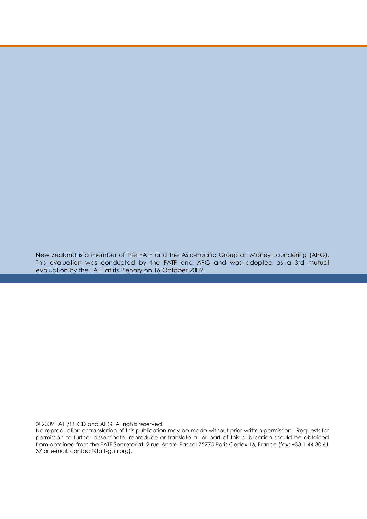New Zealand is a member of the FATF and the Asia-Pacific Group on Money Laundering (APG). This evaluation was conducted by the FATF and APG and was adopted as a 3rd mutual evaluation by the FATF at its Plenary on 16 October 2009.

© 2009 FATF/OECD and APG. All rights reserved.

No reproduction or translation of this publication may be made without prior written permission. Requests for permission to further disseminate, reproduce or translate all or part of this publication should be obtained from obtained from the FATF Secretariat, 2 rue André Pascal 75775 Paris Cedex 16, France (fax: +33 1 44 30 61 37 or e-mail: contact@fatf-gafi.org).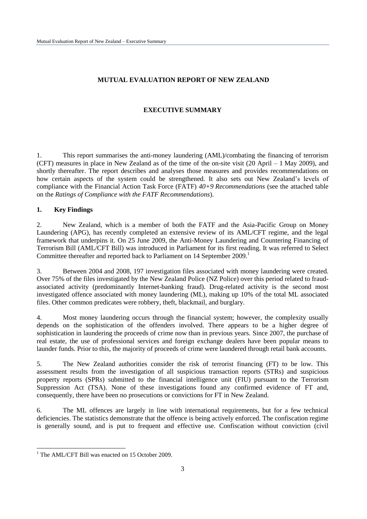# **MUTUAL EVALUATION REPORT OF NEW ZEALAND**

# **EXECUTIVE SUMMARY**

1. This report summarises the anti-money laundering (AML)/combating the financing of terrorism (CFT) measures in place in New Zealand as of the time of the on-site visit (20 April – 1 May 2009), and shortly thereafter. The report describes and analyses those measures and provides recommendations on how certain aspects of the system could be strengthened. It also sets out New Zealand"s levels of compliance with the Financial Action Task Force (FATF) *40+9 Recommendations* (see the attached table on the *Ratings of Compliance with the FATF Recommendations*).

## **1. Key Findings**

2. New Zealand, which is a member of both the FATF and the Asia-Pacific Group on Money Laundering (APG), has recently completed an extensive review of its AML/CFT regime, and the legal framework that underpins it. On 25 June 2009, the Anti-Money Laundering and Countering Financing of Terrorism Bill (AML/CFT Bill) was introduced in Parliament for its first reading. It was referred to Select Committee thereafter and reported back to Parliament on 14 September 2009.<sup>1</sup>

3. Between 2004 and 2008, 197 investigation files associated with money laundering were created. Over 75% of the files investigated by the New Zealand Police (NZ Police) over this period related to fraudassociated activity (predominantly Internet-banking fraud). Drug-related activity is the second most investigated offence associated with money laundering (ML), making up 10% of the total ML associated files. Other common predicates were robbery, theft, blackmail, and burglary.

4. Most money laundering occurs through the financial system; however, the complexity usually depends on the sophistication of the offenders involved. There appears to be a higher degree of sophistication in laundering the proceeds of crime now than in previous years. Since 2007, the purchase of real estate, the use of professional services and foreign exchange dealers have been popular means to launder funds. Prior to this, the majority of proceeds of crime were laundered through retail bank accounts.

5. The New Zealand authorities consider the risk of terrorist financing (FT) to be low. This assessment results from the investigation of all suspicious transaction reports (STRs) and suspicious property reports (SPRs) submitted to the financial intelligence unit (FIU) pursuant to the Terrorism Suppression Act (TSA). None of these investigations found any confirmed evidence of FT and, consequently, there have been no prosecutions or convictions for FT in New Zealand.

6. The ML offences are largely in line with international requirements, but for a few technical deficiencies. The statistics demonstrate that the offence is being actively enforced. The confiscation regime is generally sound, and is put to frequent and effective use. Confiscation without conviction (civil

<sup>&</sup>lt;sup>1</sup> The AML/CFT Bill was enacted on 15 October 2009.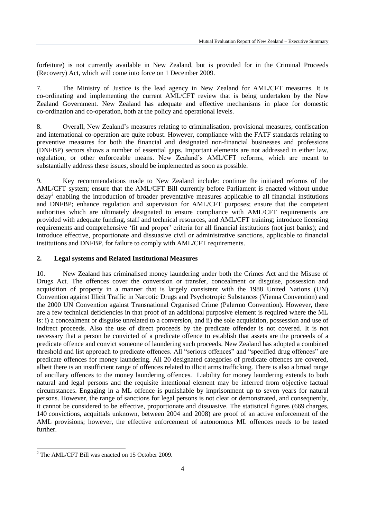forfeiture) is not currently available in New Zealand, but is provided for in the Criminal Proceeds (Recovery) Act, which will come into force on 1 December 2009.

7. The Ministry of Justice is the lead agency in New Zealand for AML/CFT measures. It is co-ordinating and implementing the current AML/CFT review that is being undertaken by the New Zealand Government. New Zealand has adequate and effective mechanisms in place for domestic co-ordination and co-operation, both at the policy and operational levels.

8. Overall, New Zealand"s measures relating to criminalisation, provisional measures, confiscation and international co-operation are quite robust. However, compliance with the FATF standards relating to preventive measures for both the financial and designated non-financial businesses and professions (DNFBP) sectors shows a number of essential gaps. Important elements are not addressed in either law, regulation, or other enforceable means. New Zealand"s AML/CFT reforms, which are meant to substantially address these issues, should be implemented as soon as possible.

9. Key recommendations made to New Zealand include: continue the initiated reforms of the AML/CFT system; ensure that the AML/CFT Bill currently before Parliament is enacted without undue delay<sup>2</sup> enabling the introduction of broader preventative measures applicable to all financial institutions and DNFBP; enhance regulation and supervision for AML/CFT purposes; ensure that the competent authorities which are ultimately designated to ensure compliance with AML/CFT requirements are provided with adequate funding, staff and technical resources, and AML/CFT training; introduce licensing requirements and comprehensive "fit and proper" criteria for all financial institutions (not just banks); and introduce effective, proportionate and dissuasive civil or administrative sanctions, applicable to financial institutions and DNFBP, for failure to comply with AML/CFT requirements.

#### **2. Legal systems and Related Institutional Measures**

10. New Zealand has criminalised money laundering under both the Crimes Act and the Misuse of Drugs Act. The offences cover the conversion or transfer, concealment or disguise, possession and acquisition of property in a manner that is largely consistent with the 1988 United Nations (UN) Convention against Illicit Traffic in Narcotic Drugs and Psychotropic Substances (Vienna Convention) and the 2000 UN Convention against Transnational Organised Crime (Palermo Convention). However, there are a few technical deficiencies in that proof of an additional purposive element is required where the ML is: i) a concealment or disguise unrelated to a conversion, and ii) the sole acquisition, possession and use of indirect proceeds. Also the use of direct proceeds by the predicate offender is not covered. It is not necessary that a person be convicted of a predicate offence to establish that assets are the proceeds of a predicate offence and convict someone of laundering such proceeds. New Zealand has adopted a combined threshold and list approach to predicate offences. All "serious offences" and "specified drug offences" are predicate offences for money laundering. All 20 designated categories of predicate offences are covered, albeit there is an insufficient range of offences related to illicit arms trafficking. There is also a broad range of ancillary offences to the money laundering offences. Liability for money laundering extends to both natural and legal persons and the requisite intentional element may be inferred from objective factual circumstances. Engaging in a ML offence is punishable by imprisonment up to seven years for natural persons. However, the range of sanctions for legal persons is not clear or demonstrated, and consequently, it cannot be considered to be effective, proportionate and dissuasive. The statistical figures (669 charges, 140 convictions, acquittals unknown, between 2004 and 2008) are proof of an active enforcement of the AML provisions; however, the effective enforcement of autonomous ML offences needs to be tested further.

<sup>2</sup> The AML/CFT Bill was enacted on 15 October 2009.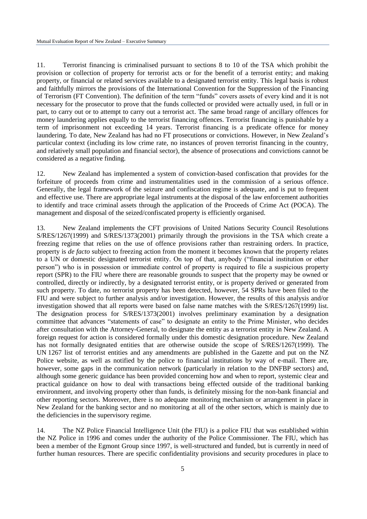11. Terrorist financing is criminalised pursuant to sections 8 to 10 of the TSA which prohibit the provision or collection of property for terrorist acts or for the benefit of a terrorist entity; and making property, or financial or related services available to a designated terrorist entity. This legal basis is robust and faithfully mirrors the provisions of the International Convention for the Suppression of the Financing of Terrorism (FT Convention). The definition of the term "funds" covers assets of every kind and it is not necessary for the prosecutor to prove that the funds collected or provided were actually used, in full or in part, to carry out or to attempt to carry out a terrorist act. The same broad range of ancillary offences for money laundering applies equally to the terrorist financing offences. Terrorist financing is punishable by a term of imprisonment not exceeding 14 years. Terrorist financing is a predicate offence for money laundering. To date, New Zealand has had no FT prosecutions or convictions. However, in New Zealand"s particular context (including its low crime rate, no instances of proven terrorist financing in the country, and relatively small population and financial sector), the absence of prosecutions and convictions cannot be considered as a negative finding.

12. New Zealand has implemented a system of conviction-based confiscation that provides for the forfeiture of proceeds from crime and instrumentalities used in the commission of a serious offence. Generally, the legal framework of the seizure and confiscation regime is adequate, and is put to frequent and effective use. There are appropriate legal instruments at the disposal of the law enforcement authorities to identify and trace criminal assets through the application of the Proceeds of Crime Act (POCA). The management and disposal of the seized/confiscated property is efficiently organised.

13. New Zealand implements the CFT provisions of United Nations Security Council Resolutions S/RES/1267(1999) and S/RES/1373(2001) primarily through the provisions in the TSA which create a freezing regime that relies on the use of offence provisions rather than restraining orders. In practice, property is *de facto* subject to freezing action from the moment it becomes known that the property relates to a UN or domestic designated terrorist entity. On top of that, anybody ("financial institution or other person") who is in possession or immediate control of property is required to file a suspicious property report (SPR) to the FIU where there are reasonable grounds to suspect that the property may be owned or controlled, directly or indirectly, by a designated terrorist entity, or is property derived or generated from such property. To date, no terrorist property has been detected, however, 54 SPRs have been filed to the FIU and were subject to further analysis and/or investigation. However, the results of this analysis and/or investigation showed that all reports were based on false name matches with the S/RES/1267(1999) list. The designation process for S/RES/1373(2001) involves preliminary examination by a designation committee that advances "statements of case" to designate an entity to the Prime Minister, who decides after consultation with the Attorney-General, to designate the entity as a terrorist entity in New Zealand. A foreign request for action is considered formally under this domestic designation procedure. New Zealand has not formally designated entities that are otherwise outside the scope of S/RES/1267(1999). The UN 1267 list of terrorist entities and any amendments are published in the Gazette and put on the NZ Police website, as well as notified by the police to financial institutions by way of e-mail. There are, however, some gaps in the communication network (particularly in relation to the DNFBP sectors) and, although some generic guidance has been provided concerning how and when to report, systemic clear and practical guidance on how to deal with transactions being effected outside of the traditional banking environment, and involving property other than funds, is definitely missing for the non-bank financial and other reporting sectors. Moreover, there is no adequate monitoring mechanism or arrangement in place in New Zealand for the banking sector and no monitoring at all of the other sectors, which is mainly due to the deficiencies in the supervisory regime.

14. The NZ Police Financial Intelligence Unit (the FIU) is a police FIU that was established within the NZ Police in 1996 and comes under the authority of the Police Commissioner. The FIU, which has been a member of the Egmont Group since 1997, is well-structured and funded, but is currently in need of further human resources. There are specific confidentiality provisions and security procedures in place to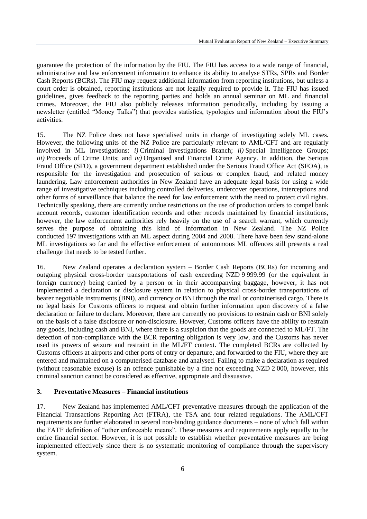guarantee the protection of the information by the FIU. The FIU has access to a wide range of financial, administrative and law enforcement information to enhance its ability to analyse STRs, SPRs and Border Cash Reports (BCRs). The FIU may request additional information from reporting institutions, but unless a court order is obtained, reporting institutions are not legally required to provide it. The FIU has issued guidelines, gives feedback to the reporting parties and holds an annual seminar on ML and financial crimes. Moreover, the FIU also publicly releases information periodically, including by issuing a newsletter (entitled "Money Talks") that provides statistics, typologies and information about the FIU"s activities.

15. The NZ Police does not have specialised units in charge of investigating solely ML cases. However, the following units of the NZ Police are particularly relevant to AML/CFT and are regularly involved in ML investigations: *i)* Criminal Investigations Branch; *ii)* Special Intelligence Groups; *iii)* Proceeds of Crime Units; and *iv)* Organised and Financial Crime Agency. In addition, the Serious Fraud Office (SFO), a government department established under the Serious Fraud Office Act (SFOA), is responsible for the investigation and prosecution of serious or complex fraud, and related money laundering. Law enforcement authorities in New Zealand have an adequate legal basis for using a wide range of investigative techniques including controlled deliveries, undercover operations, interceptions and other forms of surveillance that balance the need for law enforcement with the need to protect civil rights. Technically speaking, there are currently undue restrictions on the use of production orders to compel bank account records, customer identification records and other records maintained by financial institutions, however, the law enforcement authorities rely heavily on the use of a search warrant, which currently serves the purpose of obtaining this kind of information in New Zealand. The NZ Police conducted 197 investigations with an ML aspect during 2004 and 2008. There have been few stand-alone ML investigations so far and the effective enforcement of autonomous ML offences still presents a real challenge that needs to be tested further.

16. New Zealand operates a declaration system – Border Cash Reports (BCRs) for incoming and outgoing physical cross-border transportations of cash exceeding NZD 9 999.99 (or the equivalent in foreign currency) being carried by a person or in their accompanying baggage, however, it has not implemented a declaration or disclosure system in relation to physical cross-border transportations of bearer negotiable instruments (BNI), and currency or BNI through the mail or containerised cargo. There is no legal basis for Customs officers to request and obtain further information upon discovery of a false declaration or failure to declare. Moreover, there are currently no provisions to restrain cash or BNI solely on the basis of a false disclosure or non-disclosure. However, Customs officers have the ability to restrain any goods, including cash and BNI, where there is a suspicion that the goods are connected to ML/FT. The detection of non-compliance with the BCR reporting obligation is very low, and the Customs has never used its powers of seizure and restraint in the ML/FT context. The completed BCRs are collected by Customs officers at airports and other ports of entry or departure, and forwarded to the FIU, where they are entered and maintained on a computerised database and analysed. Failing to make a declaration as required (without reasonable excuse) is an offence punishable by a fine not exceeding NZD 2 000, however, this criminal sanction cannot be considered as effective, appropriate and dissuasive.

#### **3. Preventative Measures – Financial institutions**

17. New Zealand has implemented AML/CFT preventative measures through the application of the Financial Transactions Reporting Act (FTRA), the TSA and four related regulations. The AML/CFT requirements are further elaborated in several non-binding guidance documents – none of which fall within the FATF definition of "other enforceable means". These measures and requirements apply equally to the entire financial sector. However, it is not possible to establish whether preventative measures are being implemented effectively since there is no systematic monitoring of compliance through the supervisory system.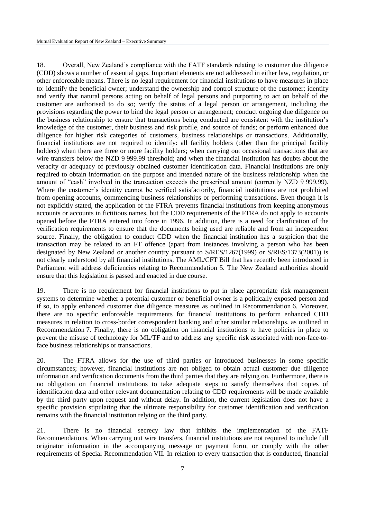18. Overall, New Zealand"s compliance with the FATF standards relating to customer due diligence (CDD) shows a number of essential gaps. Important elements are not addressed in either law, regulation, or other enforceable means. There is no legal requirement for financial institutions to have measures in place to: identify the beneficial owner; understand the ownership and control structure of the customer; identify and verify that natural persons acting on behalf of legal persons and purporting to act on behalf of the customer are authorised to do so; verify the status of a legal person or arrangement, including the provisions regarding the power to bind the legal person or arrangement; conduct ongoing due diligence on the business relationship to ensure that transactions being conducted are consistent with the institution"s knowledge of the customer, their business and risk profile, and source of funds; or perform enhanced due diligence for higher risk categories of customers, business relationships or transactions. Additionally, financial institutions are not required to identify: all facility holders (other than the principal facility holders) when there are three or more facility holders; when carrying out occasional transactions that are wire transfers below the NZD 9 999.99 threshold; and when the financial institution has doubts about the veracity or adequacy of previously obtained customer identification data. Financial institutions are only required to obtain information on the purpose and intended nature of the business relationship when the amount of "cash" involved in the transaction exceeds the prescribed amount (currently NZD 9 999.99). Where the customer's identity cannot be verified satisfactorily, financial institutions are not prohibited from opening accounts, commencing business relationships or performing transactions. Even though it is not explicitly stated, the application of the FTRA prevents financial institutions from keeping anonymous accounts or accounts in fictitious names, but the CDD requirements of the FTRA do not apply to accounts opened before the FTRA entered into force in 1996. In addition, there is a need for clarification of the verification requirements to ensure that the documents being used are reliable and from an independent source. Finally, the obligation to conduct CDD when the financial institution has a suspicion that the transaction may be related to an FT offence (apart from instances involving a person who has been designated by New Zealand or another country pursuant to S/RES/1267(1999) or S/RES/1373(2001)) is not clearly understood by all financial institutions. The AML/CFT Bill that has recently been introduced in Parliament will address deficiencies relating to Recommendation 5. The New Zealand authorities should ensure that this legislation is passed and enacted in due course.

19. There is no requirement for financial institutions to put in place appropriate risk management systems to determine whether a potential customer or beneficial owner is a politically exposed person and if so, to apply enhanced customer due diligence measures as outlined in Recommendation 6. Moreover, there are no specific enforceable requirements for financial institutions to perform enhanced CDD measures in relation to cross-border correspondent banking and other similar relationships, as outlined in Recommendation 7. Finally, there is no obligation on financial institutions to have policies in place to prevent the misuse of technology for ML/TF and to address any specific risk associated with non-face-toface business relationships or transactions.

20. The FTRA allows for the use of third parties or introduced businesses in some specific circumstances; however, financial institutions are not obliged to obtain actual customer due diligence information and verification documents from the third parties that they are relying on. Furthermore, there is no obligation on financial institutions to take adequate steps to satisfy themselves that copies of identification data and other relevant documentation relating to CDD requirements will be made available by the third party upon request and without delay. In addition, the current legislation does not have a specific provision stipulating that the ultimate responsibility for customer identification and verification remains with the financial institution relying on the third party.

21. There is no financial secrecy law that inhibits the implementation of the FATF Recommendations. When carrying out wire transfers, financial institutions are not required to include full originator information in the accompanying message or payment form, or comply with the other requirements of Special Recommendation VII. In relation to every transaction that is conducted, financial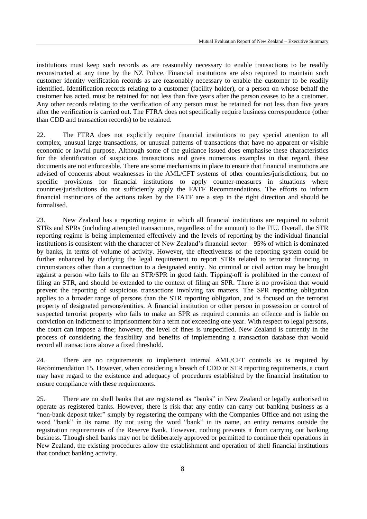institutions must keep such records as are reasonably necessary to enable transactions to be readily reconstructed at any time by the NZ Police. Financial institutions are also required to maintain such customer identity verification records as are reasonably necessary to enable the customer to be readily identified. Identification records relating to a customer (facility holder), or a person on whose behalf the customer has acted, must be retained for not less than five years after the person ceases to be a customer. Any other records relating to the verification of any person must be retained for not less than five years after the verification is carried out. The FTRA does not specifically require business correspondence (other than CDD and transaction records) to be retained.

22. The FTRA does not explicitly require financial institutions to pay special attention to all complex, unusual large transactions, or unusual patterns of transactions that have no apparent or visible economic or lawful purpose. Although some of the guidance issued does emphasise these characteristics for the identification of suspicious transactions and gives numerous examples in that regard, these documents are not enforceable. There are some mechanisms in place to ensure that financial institutions are advised of concerns about weaknesses in the AML/CFT systems of other countries/jurisdictions, but no specific provisions for financial institutions to apply counter-measures in situations where countries/jurisdictions do not sufficiently apply the FATF Recommendations. The efforts to inform financial institutions of the actions taken by the FATF are a step in the right direction and should be formalised.

23. New Zealand has a reporting regime in which all financial institutions are required to submit STRs and SPRs (including attempted transactions, regardless of the amount) to the FIU. Overall, the STR reporting regime is being implemented effectively and the levels of reporting by the individual financial institutions is consistent with the character of New Zealand"s financial sector – 95% of which is dominated by banks, in terms of volume of activity. However, the effectiveness of the reporting system could be further enhanced by clarifying the legal requirement to report STRs related to terrorist financing in circumstances other than a connection to a designated entity. No criminal or civil action may be brought against a person who fails to file an STR/SPR in good faith. Tipping-off is prohibited in the context of filing an STR, and should be extended to the context of filing an SPR. There is no provision that would prevent the reporting of suspicious transactions involving tax matters. The SPR reporting obligation applies to a broader range of persons than the STR reporting obligation, and is focused on the terrorist property of designated persons/entities. A financial institution or other person in possession or control of suspected terrorist property who fails to make an SPR as required commits an offence and is liable on conviction on indictment to imprisonment for a term not exceeding one year. With respect to legal persons, the court can impose a fine; however, the level of fines is unspecified. New Zealand is currently in the process of considering the feasibility and benefits of implementing a transaction database that would record all transactions above a fixed threshold.

24. There are no requirements to implement internal AML/CFT controls as is required by Recommendation 15. However, when considering a breach of CDD or STR reporting requirements, a court may have regard to the existence and adequacy of procedures established by the financial institution to ensure compliance with these requirements.

25. There are no shell banks that are registered as "banks" in New Zealand or legally authorised to operate as registered banks. However, there is risk that any entity can carry out banking business as a "non-bank deposit taker" simply by registering the company with the Companies Office and not using the word "bank" in its name. By not using the word "bank" in its name, an entity remains outside the registration requirements of the Reserve Bank. However, nothing prevents it from carrying out banking business. Though shell banks may not be deliberately approved or permitted to continue their operations in New Zealand, the existing procedures allow the establishment and operation of shell financial institutions that conduct banking activity.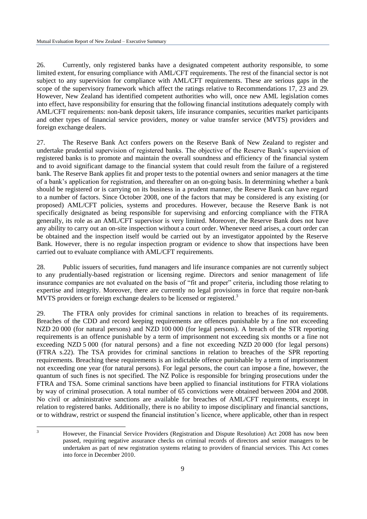26. Currently, only registered banks have a designated competent authority responsible, to some limited extent, for ensuring compliance with AML/CFT requirements. The rest of the financial sector is not subject to any supervision for compliance with AML/CFT requirements. These are serious gaps in the scope of the supervisory framework which affect the ratings relative to Recommendations 17, 23 and 29. However, New Zealand has identified competent authorities who will, once new AML legislation comes into effect, have responsibility for ensuring that the following financial institutions adequately comply with AML/CFT requirements: non-bank deposit takers, life insurance companies, securities market participants and other types of financial service providers, money or value transfer service (MVTS) providers and foreign exchange dealers.

27. The Reserve Bank Act confers powers on the Reserve Bank of New Zealand to register and undertake prudential supervision of registered banks. The objective of the Reserve Bank"s supervision of registered banks is to promote and maintain the overall soundness and efficiency of the financial system and to avoid significant damage to the financial system that could result from the failure of a registered bank. The Reserve Bank applies fit and proper tests to the potential owners and senior managers at the time of a bank"s application for registration, and thereafter on an on-going basis. In determining whether a bank should be registered or is carrying on its business in a prudent manner, the Reserve Bank can have regard to a number of factors. Since October 2008, one of the factors that may be considered is any existing (or proposed) AML/CFT policies, systems and procedures. However, because the Reserve Bank is not specifically designated as being responsible for supervising and enforcing compliance with the FTRA generally, its role as an AML/CFT supervisor is very limited. Moreover, the Reserve Bank does not have any ability to carry out an on-site inspection without a court order. Whenever need arises, a court order can be obtained and the inspection itself would be carried out by an investigator appointed by the Reserve Bank. However, there is no regular inspection program or evidence to show that inspections have been carried out to evaluate compliance with AML/CFT requirements.

28. Public issuers of securities, fund managers and life insurance companies are not currently subject to any prudentially-based registration or licensing regime. Directors and senior management of life insurance companies are not evaluated on the basis of "fit and proper" criteria, including those relating to expertise and integrity. Moreover, there are currently no legal provisions in force that require non-bank MVTS providers or foreign exchange dealers to be licensed or registered.<sup>3</sup>

29. The FTRA only provides for criminal sanctions in relation to breaches of its requirements. Breaches of the CDD and record keeping requirements are offences punishable by a fine not exceeding NZD 20 000 (for natural persons) and NZD 100 000 (for legal persons). A breach of the STR reporting requirements is an offence punishable by a term of imprisonment not exceeding six months or a fine not exceeding NZD 5 000 (for natural persons) and a fine not exceeding NZD 20 000 (for legal persons) (FTRA s.22). The TSA provides for criminal sanctions in relation to breaches of the SPR reporting requirements. Breaching these requirements is an indictable offence punishable by a term of imprisonment not exceeding one year (for natural persons). For legal persons, the court can impose a fine, however, the quantum of such fines is not specified. The NZ Police is responsible for bringing prosecutions under the FTRA and TSA. Some criminal sanctions have been applied to financial institutions for FTRA violations by way of criminal prosecution. A total number of 65 convictions were obtained between 2004 and 2008. No civil or administrative sanctions are available for breaches of AML/CFT requirements, except in relation to registered banks. Additionally, there is no ability to impose disciplinary and financial sanctions, or to withdraw, restrict or suspend the financial institution"s licence, where applicable, other than in respect

 $\overline{3}$ <sup>3</sup> However, the Financial Service Providers (Registration and Dispute Resolution) Act 2008 has now been passed, requiring negative assurance checks on criminal records of directors and senior managers to be undertaken as part of new registration systems relating to providers of financial services. This Act comes into force in December 2010.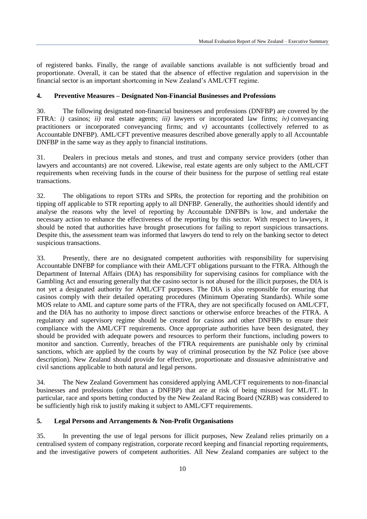of registered banks. Finally, the range of available sanctions available is not sufficiently broad and proportionate. Overall, it can be stated that the absence of effective regulation and supervision in the financial sector is an important shortcoming in New Zealand"s AML/CFT regime.

#### **4. Preventive Measures – Designated Non-Financial Businesses and Professions**

30. The following designated non-financial businesses and professions (DNFBP) are covered by the FTRA: *i)* casinos; *ii)* real estate agents; *iii)* lawyers or incorporated law firms; *iv)* conveyancing practitioners or incorporated conveyancing firms; and *v)* accountants (collectively referred to as Accountable DNFBP). AML/CFT preventive measures described above generally apply to all Accountable DNFBP in the same way as they apply to financial institutions.

31. Dealers in precious metals and stones, and trust and company service providers (other than lawyers and accountants) are not covered. Likewise, real estate agents are only subject to the AML/CFT requirements when receiving funds in the course of their business for the purpose of settling real estate transactions.

32. The obligations to report STRs and SPRs, the protection for reporting and the prohibition on tipping off applicable to STR reporting apply to all DNFBP. Generally, the authorities should identify and analyse the reasons why the level of reporting by Accountable DNFBPs is low, and undertake the necessary action to enhance the effectiveness of the reporting by this sector. With respect to lawyers, it should be noted that authorities have brought prosecutions for failing to report suspicious transactions. Despite this, the assessment team was informed that lawyers do tend to rely on the banking sector to detect suspicious transactions.

33. Presently, there are no designated competent authorities with responsibility for supervising Accountable DNFBP for compliance with their AML/CFT obligations pursuant to the FTRA. Although the Department of Internal Affairs (DIA) has responsibility for supervising casinos for compliance with the Gambling Act and ensuring generally that the casino sector is not abused for the illicit purposes, the DIA is not yet a designated authority for AML/CFT purposes. The DIA is also responsible for ensuring that casinos comply with their detailed operating procedures (Minimum Operating Standards). While some MOS relate to AML and capture some parts of the FTRA, they are not specifically focused on AML/CFT, and the DIA has no authority to impose direct sanctions or otherwise enforce breaches of the FTRA. A regulatory and supervisory regime should be created for casinos and other DNFBPs to ensure their compliance with the AML/CFT requirements. Once appropriate authorities have been designated, they should be provided with adequate powers and resources to perform their functions, including powers to monitor and sanction. Currently, breaches of the FTRA requirements are punishable only by criminal sanctions, which are applied by the courts by way of criminal prosecution by the NZ Police (see above description). New Zealand should provide for effective, proportionate and dissuasive administrative and civil sanctions applicable to both natural and legal persons.

34. The New Zealand Government has considered applying AML/CFT requirements to non-financial businesses and professions (other than a DNFBP) that are at risk of being misused for ML/FT. In particular, race and sports betting conducted by the New Zealand Racing Board (NZRB) was considered to be sufficiently high risk to justify making it subject to AML/CFT requirements.

#### **5. Legal Persons and Arrangements & Non-Profit Organisations**

35. In preventing the use of legal persons for illicit purposes, New Zealand relies primarily on a centralised system of company registration, corporate record keeping and financial reporting requirements, and the investigative powers of competent authorities. All New Zealand companies are subject to the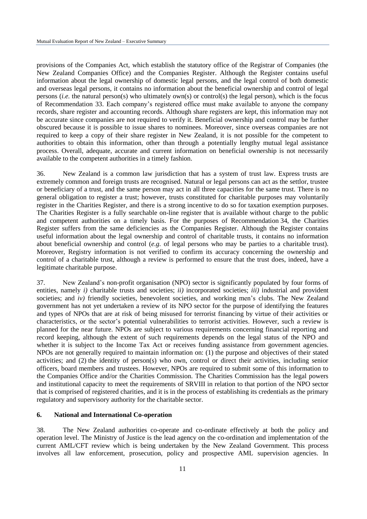provisions of the Companies Act, which establish the statutory office of the Registrar of Companies (the New Zealand Companies Office) and the Companies Register. Although the Register contains useful information about the legal ownership of domestic legal persons, and the legal control of both domestic and overseas legal persons, it contains no information about the beneficial ownership and control of legal persons (*i.e.* the natural person(s) who ultimately own(s) or control(s) the legal person), which is the focus of Recommendation 33. Each company"s registered office must make available to anyone the company records, share register and accounting records. Although share registers are kept, this information may not be accurate since companies are not required to verify it. Beneficial ownership and control may be further obscured because it is possible to issue shares to nominees. Moreover, since overseas companies are not required to keep a copy of their share register in New Zealand, it is not possible for the competent to authorities to obtain this information, other than through a potentially lengthy mutual legal assistance process. Overall, adequate, accurate and current information on beneficial ownership is not necessarily available to the competent authorities in a timely fashion.

36. New Zealand is a common law jurisdiction that has a system of trust law. Express trusts are extremely common and foreign trusts are recognised. Natural or legal persons can act as the settlor, trustee or beneficiary of a trust, and the same person may act in all three capacities for the same trust. There is no general obligation to register a trust; however, trusts constituted for charitable purposes may voluntarily register in the Charities Register, and there is a strong incentive to do so for taxation exemption purposes. The Charities Register is a fully searchable on-line register that is available without charge to the public and competent authorities on a timely basis. For the purposes of Recommendation 34, the Charities Register suffers from the same deficiencies as the Companies Register. Although the Register contains useful information about the legal ownership and control of charitable trusts, it contains no information about beneficial ownership and control (*e.g.* of legal persons who may be parties to a charitable trust). Moreover, Registry information is not verified to confirm its accuracy concerning the ownership and control of a charitable trust, although a review is performed to ensure that the trust does, indeed, have a legitimate charitable purpose.

37. New Zealand"s non-profit organisation (NPO) sector is significantly populated by four forms of entities, namely *i)* charitable trusts and societies; *ii)* incorporated societies; *iii)* industrial and provident societies; and *iv*) friendly societies, benevolent societies, and working men's clubs. The New Zealand government has not yet undertaken a review of its NPO sector for the purpose of identifying the features and types of NPOs that are at risk of being misused for terrorist financing by virtue of their activities or characteristics, or the sector's potential vulnerabilities to terrorist activities. However, such a review is planned for the near future. NPOs are subject to various requirements concerning financial reporting and record keeping, although the extent of such requirements depends on the legal status of the NPO and whether it is subject to the Income Tax Act or receives funding assistance from government agencies. NPOs are not generally required to maintain information on: (1) the purpose and objectives of their stated activities; and (2) the identity of person(s) who own, control or direct their activities, including senior officers, board members and trustees. However, NPOs are required to submit some of this information to the Companies Office and/or the Charities Commission. The Charities Commission has the legal powers and institutional capacity to meet the requirements of SRVIII in relation to that portion of the NPO sector that is comprised of registered charities, and it is in the process of establishing its credentials as the primary regulatory and supervisory authority for the charitable sector.

#### **6. National and International Co-operation**

38. The New Zealand authorities co-operate and co-ordinate effectively at both the policy and operation level. The Ministry of Justice is the lead agency on the co-ordination and implementation of the current AML/CFT review which is being undertaken by the New Zealand Government. This process involves all law enforcement, prosecution, policy and prospective AML supervision agencies. In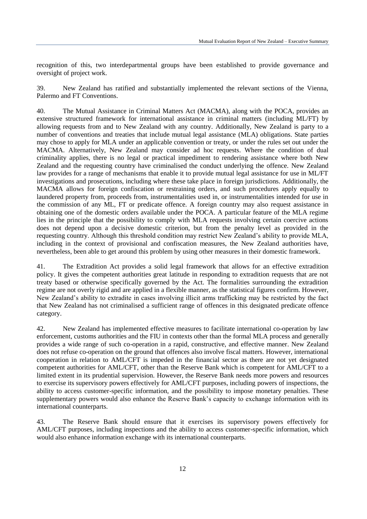recognition of this, two interdepartmental groups have been established to provide governance and oversight of project work.

39. New Zealand has ratified and substantially implemented the relevant sections of the Vienna, Palermo and FT Conventions.

40. The Mutual Assistance in Criminal Matters Act (MACMA), along with the POCA, provides an extensive structured framework for international assistance in criminal matters (including ML/FT) by allowing requests from and to New Zealand with any country. Additionally, New Zealand is party to a number of conventions and treaties that include mutual legal assistance (MLA) obligations. State parties may chose to apply for MLA under an applicable convention or treaty, or under the rules set out under the MACMA. Alternatively, New Zealand may consider ad hoc requests. Where the condition of dual criminality applies, there is no legal or practical impediment to rendering assistance where both New Zealand and the requesting country have criminalised the conduct underlying the offence. New Zealand law provides for a range of mechanisms that enable it to provide mutual legal assistance for use in ML/FT investigations and prosecutions, including where these take place in foreign jurisdictions. Additionally, the MACMA allows for foreign confiscation or restraining orders, and such procedures apply equally to laundered property from, proceeds from, instrumentalities used in, or instrumentalities intended for use in the commission of any ML, FT or predicate offence. A foreign country may also request assistance in obtaining one of the domestic orders available under the POCA. A particular feature of the MLA regime lies in the principle that the possibility to comply with MLA requests involving certain coercive actions does not depend upon a decisive domestic criterion, but from the penalty level as provided in the requesting country. Although this threshold condition may restrict New Zealand"s ability to provide MLA, including in the context of provisional and confiscation measures, the New Zealand authorities have, nevertheless, been able to get around this problem by using other measures in their domestic framework.

41. The Extradition Act provides a solid legal framework that allows for an effective extradition policy. It gives the competent authorities great latitude in responding to extradition requests that are not treaty based or otherwise specifically governed by the Act. The formalities surrounding the extradition regime are not overly rigid and are applied in a flexible manner, as the statistical figures confirm. However, New Zealand"s ability to extradite in cases involving illicit arms trafficking may be restricted by the fact that New Zealand has not criminalised a sufficient range of offences in this designated predicate offence category.

42. New Zealand has implemented effective measures to facilitate international co-operation by law enforcement, customs authorities and the FIU in contexts other than the formal MLA process and generally provides a wide range of such co-operation in a rapid, constructive, and effective manner. New Zealand does not refuse co-operation on the ground that offences also involve fiscal matters. However, international cooperation in relation to AML/CFT is impeded in the financial sector as there are not yet designated competent authorities for AML/CFT, other than the Reserve Bank which is competent for AML/CFT to a limited extent in its prudential supervision. However, the Reserve Bank needs more powers and resources to exercise its supervisory powers effectively for AML/CFT purposes, including powers of inspections, the ability to access customer-specific information, and the possibility to impose monetary penalties. These supplementary powers would also enhance the Reserve Bank"s capacity to exchange information with its international counterparts.

43. The Reserve Bank should ensure that it exercises its supervisory powers effectively for AML/CFT purposes, including inspections and the ability to access customer-specific information, which would also enhance information exchange with its international counterparts.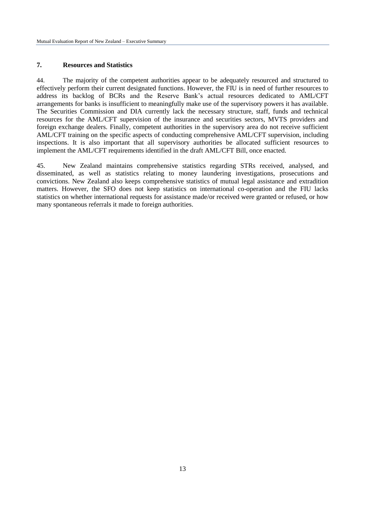### **7. Resources and Statistics**

44. The majority of the competent authorities appear to be adequately resourced and structured to effectively perform their current designated functions. However, the FIU is in need of further resources to address its backlog of BCRs and the Reserve Bank"s actual resources dedicated to AML/CFT arrangements for banks is insufficient to meaningfully make use of the supervisory powers it has available. The Securities Commission and DIA currently lack the necessary structure, staff, funds and technical resources for the AML/CFT supervision of the insurance and securities sectors, MVTS providers and foreign exchange dealers. Finally, competent authorities in the supervisory area do not receive sufficient AML/CFT training on the specific aspects of conducting comprehensive AML/CFT supervision, including inspections. It is also important that all supervisory authorities be allocated sufficient resources to implement the AML/CFT requirements identified in the draft AML/CFT Bill, once enacted.

45. New Zealand maintains comprehensive statistics regarding STRs received, analysed, and disseminated, as well as statistics relating to money laundering investigations, prosecutions and convictions. New Zealand also keeps comprehensive statistics of mutual legal assistance and extradition matters. However, the SFO does not keep statistics on international co-operation and the FIU lacks statistics on whether international requests for assistance made/or received were granted or refused, or how many spontaneous referrals it made to foreign authorities.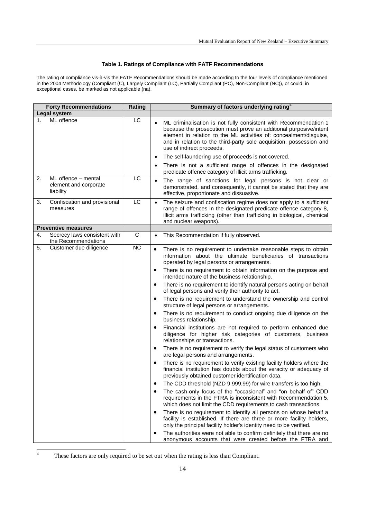#### **Table 1. Ratings of Compliance with FATF Recommendations**

The rating of compliance vis-à-vis the FATF Recommendations should be made according to the four levels of compliance mentioned in the 2004 Methodology (Compliant (C), Largely Compliant (LC), Partially Compliant (PC), Non-Compliant (NC)), or could, in exceptional cases, be marked as not applicable (na).

| <b>Forty Recommendations</b>                                    | Rating          | Summary of factors underlying rating <sup>4</sup>                                                                                                                                                                                                                                                                                                                                                                                                                                                                                                                                                                                                                                                                                                                                                                                                                                                                                                                                                                                                                                                                                                                                                                                                                                                                                                                                                                                                                                                                                                                                                                                                                                                                                                                                                                                                                     |
|-----------------------------------------------------------------|-----------------|-----------------------------------------------------------------------------------------------------------------------------------------------------------------------------------------------------------------------------------------------------------------------------------------------------------------------------------------------------------------------------------------------------------------------------------------------------------------------------------------------------------------------------------------------------------------------------------------------------------------------------------------------------------------------------------------------------------------------------------------------------------------------------------------------------------------------------------------------------------------------------------------------------------------------------------------------------------------------------------------------------------------------------------------------------------------------------------------------------------------------------------------------------------------------------------------------------------------------------------------------------------------------------------------------------------------------------------------------------------------------------------------------------------------------------------------------------------------------------------------------------------------------------------------------------------------------------------------------------------------------------------------------------------------------------------------------------------------------------------------------------------------------------------------------------------------------------------------------------------------------|
| Legal system                                                    |                 |                                                                                                                                                                                                                                                                                                                                                                                                                                                                                                                                                                                                                                                                                                                                                                                                                                                                                                                                                                                                                                                                                                                                                                                                                                                                                                                                                                                                                                                                                                                                                                                                                                                                                                                                                                                                                                                                       |
| ML offence<br>1.                                                | LC              | ML criminalisation is not fully consistent with Recommendation 1<br>because the prosecution must prove an additional purposive/intent<br>element in relation to the ML activities of: concealment/disguise,<br>and in relation to the third-party sole acquisition, possession and<br>use of indirect proceeds.                                                                                                                                                                                                                                                                                                                                                                                                                                                                                                                                                                                                                                                                                                                                                                                                                                                                                                                                                                                                                                                                                                                                                                                                                                                                                                                                                                                                                                                                                                                                                       |
|                                                                 |                 | The self-laundering use of proceeds is not covered.<br>$\bullet$<br>There is not a sufficient range of offences in the designated<br>predicate offence category of illicit arms trafficking.                                                                                                                                                                                                                                                                                                                                                                                                                                                                                                                                                                                                                                                                                                                                                                                                                                                                                                                                                                                                                                                                                                                                                                                                                                                                                                                                                                                                                                                                                                                                                                                                                                                                          |
| ML offence - mental<br>2.<br>element and corporate<br>liability | LC              | The range of sanctions for legal persons is not clear or<br>$\bullet$<br>demonstrated, and consequently, it cannot be stated that they are<br>effective, proportionate and dissuasive.                                                                                                                                                                                                                                                                                                                                                                                                                                                                                                                                                                                                                                                                                                                                                                                                                                                                                                                                                                                                                                                                                                                                                                                                                                                                                                                                                                                                                                                                                                                                                                                                                                                                                |
| Confiscation and provisional<br>3.<br>measures                  | LC              | The seizure and confiscation regime does not apply to a sufficient<br>$\bullet$<br>range of offences in the designated predicate offence category 8,<br>illicit arms trafficking (other than trafficking in biological, chemical<br>and nuclear weapons).                                                                                                                                                                                                                                                                                                                                                                                                                                                                                                                                                                                                                                                                                                                                                                                                                                                                                                                                                                                                                                                                                                                                                                                                                                                                                                                                                                                                                                                                                                                                                                                                             |
| <b>Preventive measures</b>                                      |                 |                                                                                                                                                                                                                                                                                                                                                                                                                                                                                                                                                                                                                                                                                                                                                                                                                                                                                                                                                                                                                                                                                                                                                                                                                                                                                                                                                                                                                                                                                                                                                                                                                                                                                                                                                                                                                                                                       |
| Secrecy laws consistent with<br>4.<br>the Recommendations       | $\mathbf C$     | This Recommendation if fully observed.<br>$\bullet$                                                                                                                                                                                                                                                                                                                                                                                                                                                                                                                                                                                                                                                                                                                                                                                                                                                                                                                                                                                                                                                                                                                                                                                                                                                                                                                                                                                                                                                                                                                                                                                                                                                                                                                                                                                                                   |
| Customer due diligence<br>5.                                    | $\overline{NC}$ | There is no requirement to undertake reasonable steps to obtain<br>$\bullet$<br>information about the ultimate beneficiaries of transactions<br>operated by legal persons or arrangements.<br>There is no requirement to obtain information on the purpose and<br>٠<br>intended nature of the business relationship.<br>There is no requirement to identify natural persons acting on behalf<br>$\bullet$<br>of legal persons and verify their authority to act.<br>There is no requirement to understand the ownership and control<br>$\bullet$<br>structure of legal persons or arrangements.<br>There is no requirement to conduct ongoing due diligence on the<br>٠<br>business relationship.<br>Financial institutions are not required to perform enhanced due<br>$\bullet$<br>diligence for higher risk categories of customers, business<br>relationships or transactions.<br>There is no requirement to verify the legal status of customers who<br>٠<br>are legal persons and arrangements.<br>There is no requirement to verify existing facility holders where the<br>٠<br>financial institution has doubts about the veracity or adequacy of<br>previously obtained customer identification data.<br>The CDD threshold (NZD 9 999.99) for wire transfers is too high.<br>٠<br>The cash-only focus of the "occasional" and "on behalf of" CDD<br>requirements in the FTRA is inconsistent with Recommendation 5,<br>which does not limit the CDD requirements to cash transactions.<br>There is no requirement to identify all persons on whose behalf a<br>$\bullet$<br>facility is established. If there are three or more facility holders,<br>only the principal facility holder's identity need to be verified.<br>The authorities were not able to confirm definitely that there are no<br>anonymous accounts that were created before the FTRA and |

These factors are only required to be set out when the rating is less than Compliant.

 $\overline{4}$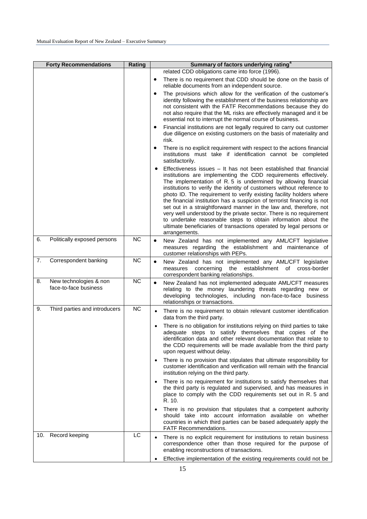| <b>Forty Recommendations</b>                          | Rating          | Summary of factors underlying rating <sup>4</sup>                                                                                                                                                                                                                                                                                                                                                                                                                                                                                                                                                                                                                                                                                                    |
|-------------------------------------------------------|-----------------|------------------------------------------------------------------------------------------------------------------------------------------------------------------------------------------------------------------------------------------------------------------------------------------------------------------------------------------------------------------------------------------------------------------------------------------------------------------------------------------------------------------------------------------------------------------------------------------------------------------------------------------------------------------------------------------------------------------------------------------------------|
|                                                       |                 | related CDD obligations came into force (1996).                                                                                                                                                                                                                                                                                                                                                                                                                                                                                                                                                                                                                                                                                                      |
|                                                       |                 | There is no requirement that CDD should be done on the basis of<br>$\bullet$<br>reliable documents from an independent source.                                                                                                                                                                                                                                                                                                                                                                                                                                                                                                                                                                                                                       |
|                                                       |                 | The provisions which allow for the verification of the customer's<br>٠<br>identity following the establishment of the business relationship are<br>not consistent with the FATF Recommendations because they do<br>not also require that the ML risks are effectively managed and it be<br>essential not to interrupt the normal course of business.                                                                                                                                                                                                                                                                                                                                                                                                 |
|                                                       |                 | Financial institutions are not legally required to carry out customer<br>٠<br>due diligence on existing customers on the basis of materiality and<br>risk.                                                                                                                                                                                                                                                                                                                                                                                                                                                                                                                                                                                           |
|                                                       |                 | There is no explicit requirement with respect to the actions financial<br>٠<br>institutions must take if identification cannot be completed<br>satisfactorily.                                                                                                                                                                                                                                                                                                                                                                                                                                                                                                                                                                                       |
|                                                       |                 | Effectiveness issues – It has not been established that financial<br>$\bullet$<br>institutions are implementing the CDD requirements effectively.<br>The implementation of R. 5 is undermined by allowing financial<br>institutions to verify the identity of customers without reference to<br>photo ID. The requirement to verify existing facility holders where<br>the financial institution has a suspicion of terrorist financing is not<br>set out in a straightforward manner in the law and, therefore, not<br>very well understood by the private sector. There is no requirement<br>to undertake reasonable steps to obtain information about the<br>ultimate beneficiaries of transactions operated by legal persons or<br>arrangements. |
| Politically exposed persons<br>6.                     | <b>NC</b>       | New Zealand has not implemented any AML/CFT legislative<br>$\bullet$<br>measures regarding the establishment and maintenance of<br>customer relationships with PEPs.                                                                                                                                                                                                                                                                                                                                                                                                                                                                                                                                                                                 |
| Correspondent banking<br>7.                           | <b>NC</b>       | New Zealand has not implemented any AML/CFT legislative<br>$\bullet$<br>measures concerning the establishment of cross-border<br>correspondent banking relationships.                                                                                                                                                                                                                                                                                                                                                                                                                                                                                                                                                                                |
| New technologies & non<br>8.<br>face-to-face business | <b>NC</b>       | New Zealand has not implemented adequate AML/CFT measures<br>$\bullet$<br>relating to the money laundering threats regarding new or<br>developing technologies, including non-face-to-face business<br>relationships or transactions.                                                                                                                                                                                                                                                                                                                                                                                                                                                                                                                |
| Third parties and introducers<br>9.                   | $\overline{NC}$ | There is no requirement to obtain relevant customer identification<br>$\bullet$<br>data from the third party.                                                                                                                                                                                                                                                                                                                                                                                                                                                                                                                                                                                                                                        |
|                                                       |                 | There is no obligation for institutions relying on third parties to take<br>٠<br>adequate steps to satisfy themselves that copies of the<br>identification data and other relevant documentation that relate to<br>the CDD requirements will be made available from the third party<br>upon request without delay.                                                                                                                                                                                                                                                                                                                                                                                                                                   |
|                                                       |                 | There is no provision that stipulates that ultimate responsibility for<br>$\bullet$<br>customer identification and verification will remain with the financial<br>institution relying on the third party.                                                                                                                                                                                                                                                                                                                                                                                                                                                                                                                                            |
|                                                       |                 | There is no requirement for institutions to satisfy themselves that<br>$\bullet$<br>the third party is regulated and supervised, and has measures in<br>place to comply with the CDD requirements set out in R. 5 and<br>R. 10.                                                                                                                                                                                                                                                                                                                                                                                                                                                                                                                      |
|                                                       |                 | There is no provision that stipulates that a competent authority<br>$\bullet$<br>should take into account information available on whether<br>countries in which third parties can be based adequately apply the<br><b>FATF Recommendations.</b>                                                                                                                                                                                                                                                                                                                                                                                                                                                                                                     |
| 10. Record keeping                                    | LC              | There is no explicit requirement for institutions to retain business<br>$\bullet$<br>correspondence other than those required for the purpose of<br>enabling reconstructions of transactions.                                                                                                                                                                                                                                                                                                                                                                                                                                                                                                                                                        |
|                                                       |                 | Effective implementation of the existing requirements could not be                                                                                                                                                                                                                                                                                                                                                                                                                                                                                                                                                                                                                                                                                   |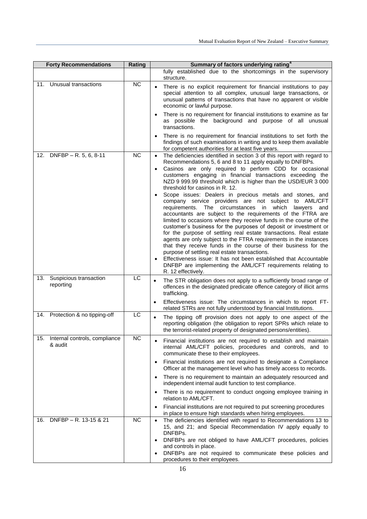| <b>Forty Recommendations</b>                    | Rating          | Summary of factors underlying rating <sup>4</sup>                                                                                                                                                                                                                                                                                                                                                                                                                                                                                                                                                                                                                                                                                                                                                                                                                                                                                                                                                                                                                                                                                                                                                                |
|-------------------------------------------------|-----------------|------------------------------------------------------------------------------------------------------------------------------------------------------------------------------------------------------------------------------------------------------------------------------------------------------------------------------------------------------------------------------------------------------------------------------------------------------------------------------------------------------------------------------------------------------------------------------------------------------------------------------------------------------------------------------------------------------------------------------------------------------------------------------------------------------------------------------------------------------------------------------------------------------------------------------------------------------------------------------------------------------------------------------------------------------------------------------------------------------------------------------------------------------------------------------------------------------------------|
|                                                 |                 | fully established due to the shortcomings in the supervisory<br>structure.                                                                                                                                                                                                                                                                                                                                                                                                                                                                                                                                                                                                                                                                                                                                                                                                                                                                                                                                                                                                                                                                                                                                       |
| Unusual transactions<br>11.                     | <b>NC</b>       | There is no explicit requirement for financial institutions to pay<br>special attention to all complex, unusual large transactions, or<br>unusual patterns of transactions that have no apparent or visible<br>economic or lawful purpose.                                                                                                                                                                                                                                                                                                                                                                                                                                                                                                                                                                                                                                                                                                                                                                                                                                                                                                                                                                       |
|                                                 |                 | There is no requirement for financial institutions to examine as far<br>$\bullet$<br>as possible the background and purpose of all unusual<br>transactions.                                                                                                                                                                                                                                                                                                                                                                                                                                                                                                                                                                                                                                                                                                                                                                                                                                                                                                                                                                                                                                                      |
|                                                 |                 | There is no requirement for financial institutions to set forth the<br>findings of such examinations in writing and to keep them available<br>for competent authorities for at least five years.                                                                                                                                                                                                                                                                                                                                                                                                                                                                                                                                                                                                                                                                                                                                                                                                                                                                                                                                                                                                                 |
| 12. DNFBP - R. 5, 6, 8-11                       | <b>NC</b>       | The deficiencies identified in section 3 of this report with regard to<br>$\bullet$<br>Recommendations 5, 6 and 8 to 11 apply equally to DNFBPs.<br>Casinos are only required to perform CDD for occasional<br>$\bullet$<br>customers engaging in financial transactions exceeding the<br>NZD 9 999.99 threshold which is higher than the USD/EUR 3 000<br>threshold for casinos in R. 12.<br>Scope issues: Dealers in precious metals and stones, and<br>company service providers are not subject to AML/CFT<br>The circumstances in which<br>lawyers<br>requirements.<br>and<br>accountants are subject to the requirements of the FTRA are<br>limited to occasions where they receive funds in the course of the<br>customer's business for the purposes of deposit or investment or<br>for the purpose of settling real estate transactions. Real estate<br>agents are only subject to the FTRA requirements in the instances<br>that they receive funds in the course of their business for the<br>purpose of settling real estate transactions.<br>Effectiveness issue: It has not been established that Accountable<br>DNFBP are implementing the AML/CFT requirements relating to<br>R. 12 effectively. |
| Suspicious transaction<br>13.<br>reporting      | $\overline{LC}$ | The STR obligation does not apply to a sufficiently broad range of<br>$\bullet$<br>offences in the designated predicate offence category of illicit arms<br>trafficking.<br>Effectiveness issue: The circumstances in which to report FT-<br>$\bullet$                                                                                                                                                                                                                                                                                                                                                                                                                                                                                                                                                                                                                                                                                                                                                                                                                                                                                                                                                           |
|                                                 |                 | related STRs are not fully understood by financial Institutions.                                                                                                                                                                                                                                                                                                                                                                                                                                                                                                                                                                                                                                                                                                                                                                                                                                                                                                                                                                                                                                                                                                                                                 |
| 14. Protection & no tipping-off                 | LC              | The tipping off provision does not apply to one aspect of the<br>$\bullet$<br>reporting obligation (the obligation to report SPRs which relate to<br>the terrorist-related property of designated persons/entities).                                                                                                                                                                                                                                                                                                                                                                                                                                                                                                                                                                                                                                                                                                                                                                                                                                                                                                                                                                                             |
| 15.<br>Internal controls, compliance<br>& audit | NС              | Financial institutions are not required to establish and maintain<br>internal AML/CFT policies, procedures and controls, and to<br>communicate these to their employees.                                                                                                                                                                                                                                                                                                                                                                                                                                                                                                                                                                                                                                                                                                                                                                                                                                                                                                                                                                                                                                         |
|                                                 |                 | Financial institutions are not required to designate a Compliance<br>$\bullet$<br>Officer at the management level who has timely access to records.                                                                                                                                                                                                                                                                                                                                                                                                                                                                                                                                                                                                                                                                                                                                                                                                                                                                                                                                                                                                                                                              |
|                                                 |                 | There is no requirement to maintain an adequately resourced and<br>$\bullet$<br>independent internal audit function to test compliance.                                                                                                                                                                                                                                                                                                                                                                                                                                                                                                                                                                                                                                                                                                                                                                                                                                                                                                                                                                                                                                                                          |
|                                                 |                 | There is no requirement to conduct ongoing employee training in<br>relation to AML/CFT.                                                                                                                                                                                                                                                                                                                                                                                                                                                                                                                                                                                                                                                                                                                                                                                                                                                                                                                                                                                                                                                                                                                          |
|                                                 |                 | Financial institutions are not required to put screening procedures<br>in place to ensure high standards when hiring employees.                                                                                                                                                                                                                                                                                                                                                                                                                                                                                                                                                                                                                                                                                                                                                                                                                                                                                                                                                                                                                                                                                  |
| DNFBP - R. 13-15 & 21<br>16.                    | <b>NC</b>       | The deficiencies identified with regard to Recommendations 13 to<br>$\bullet$<br>15, and 21; and Special Recommendation IV apply equally to<br>DNFBPs.<br>DNFBPs are not obliged to have AML/CFT procedures, policies<br>$\bullet$<br>and controls in place.<br>DNFBPs are not required to communicate these policies and<br>$\bullet$<br>procedures to their employees.                                                                                                                                                                                                                                                                                                                                                                                                                                                                                                                                                                                                                                                                                                                                                                                                                                         |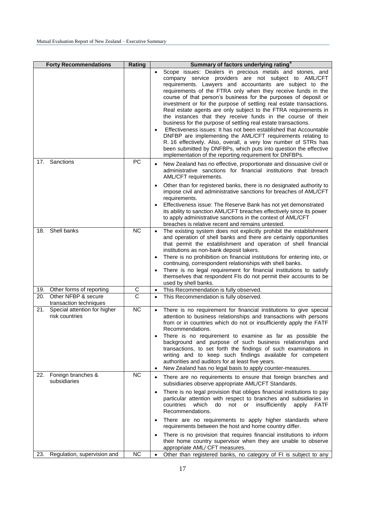|     | <b>Forty Recommendations</b>                   | Rating                | Summary of factors underlying rating <sup>4</sup>                                                                                                                                                                                                                                                                                                                                                                                                                                                                                                                                                                                                                                                                                                                                                                                                                                                                                                            |
|-----|------------------------------------------------|-----------------------|--------------------------------------------------------------------------------------------------------------------------------------------------------------------------------------------------------------------------------------------------------------------------------------------------------------------------------------------------------------------------------------------------------------------------------------------------------------------------------------------------------------------------------------------------------------------------------------------------------------------------------------------------------------------------------------------------------------------------------------------------------------------------------------------------------------------------------------------------------------------------------------------------------------------------------------------------------------|
|     |                                                |                       | Scope issues: Dealers in precious metals and stones, and<br>$\bullet$<br>company service providers are not subject to AML/CFT<br>requirements. Lawyers and accountants are subject to the<br>requirements of the FTRA only when they receive funds in the<br>course of that person's business for the purposes of deposit or<br>investment or for the purpose of settling real estate transactions.<br>Real estate agents are only subject to the FTRA requirements in<br>the instances that they receive funds in the course of their<br>business for the purpose of settling real estate transactions.<br>Effectiveness issues: It has not been established that Accountable<br>$\bullet$<br>DNFBP are implementing the AML/CFT requirements relating to<br>R. 16 effectively. Also, overall, a very low number of STRs has<br>been submitted by DNFBPs, which puts into question the effective<br>implementation of the reporting requirement for DNFBPs. |
| 17. | Sanctions                                      | PC                    | New Zealand has no effective, proportionate and dissuasive civil or<br>administrative sanctions for financial institutions that breach<br>AML/CFT requirements.                                                                                                                                                                                                                                                                                                                                                                                                                                                                                                                                                                                                                                                                                                                                                                                              |
|     |                                                |                       | Other than for registered banks, there is no designated authority to<br>$\bullet$<br>impose civil and administrative sanctions for breaches of AML/CFT<br>requirements.<br>Effectiveness issue: The Reserve Bank has not yet demonstrated<br>$\bullet$<br>its ability to sanction AML/CFT breaches effectively since its power<br>to apply administrative sanctions in the context of AML/CFT<br>breaches is relative recent and remains untested.                                                                                                                                                                                                                                                                                                                                                                                                                                                                                                           |
| 18. | Shell banks                                    | <b>NC</b>             | The existing system does not explicitly prohibit the establishment<br>$\bullet$<br>and operation of shell banks and there are certainly opportunities<br>that permit the establishment and operation of shell financial<br>institutions as non-bank deposit takers.<br>There is no prohibition on financial institutions for entering into, or<br>$\bullet$<br>continuing, correspondent relationships with shell banks.<br>There is no legal requirement for financial institutions to satisfy<br>$\bullet$<br>themselves that respondent FIs do not permit their accounts to be<br>used by shell banks.                                                                                                                                                                                                                                                                                                                                                    |
| 19. | Other forms of reporting                       | C                     | This Recommendation is fully observed.<br>$\bullet$                                                                                                                                                                                                                                                                                                                                                                                                                                                                                                                                                                                                                                                                                                                                                                                                                                                                                                          |
| 20. | Other NFBP & secure<br>transaction techniques  | $\overline{\text{c}}$ | This Recommendation is fully observed.<br>$\bullet$                                                                                                                                                                                                                                                                                                                                                                                                                                                                                                                                                                                                                                                                                                                                                                                                                                                                                                          |
| 21. | Special attention for higher<br>risk countries | <b>NC</b>             | There is no requirement for financial institutions to give special<br>$\bullet$<br>attention to business relationships and transactions with persons<br>from or in countries which do not or insufficiently apply the FATF<br>Recommendations.<br>There is no requirement to examine as far as possible the<br>background and purpose of such business relationships and<br>transactions, to set forth the findings of such examinations in<br>writing and to keep such findings available for competent<br>authorities and auditors for at least five years.<br>New Zealand has no legal basis to apply counter-measures.<br>$\bullet$                                                                                                                                                                                                                                                                                                                      |
| 22. | Foreign branches &<br>subsidiaries             | <b>NC</b>             | There are no requirements to ensure that foreign branches and<br>$\bullet$<br>subsidiaries observe appropriate AML/CFT Standards.                                                                                                                                                                                                                                                                                                                                                                                                                                                                                                                                                                                                                                                                                                                                                                                                                            |
|     |                                                |                       | There is no legal provision that obliges financial institutions to pay<br>$\bullet$<br>particular attention with respect to branches and subsidiaries in<br>countries<br>which<br>insufficiently<br><b>FATF</b><br>do<br>not<br>or<br>apply<br>Recommendations.                                                                                                                                                                                                                                                                                                                                                                                                                                                                                                                                                                                                                                                                                              |
|     |                                                |                       | There are no requirements to apply higher standards where<br>$\bullet$<br>requirements between the host and home country differ.                                                                                                                                                                                                                                                                                                                                                                                                                                                                                                                                                                                                                                                                                                                                                                                                                             |
|     |                                                |                       | There is no provision that requires financial institutions to inform<br>$\bullet$<br>their home country supervisor when they are unable to observe<br>appropriate AML/ CFT measures.                                                                                                                                                                                                                                                                                                                                                                                                                                                                                                                                                                                                                                                                                                                                                                         |
| 23. | Regulation, supervision and                    | NC                    | Other than registered banks, no category of FI is subject to any<br>$\bullet$                                                                                                                                                                                                                                                                                                                                                                                                                                                                                                                                                                                                                                                                                                                                                                                                                                                                                |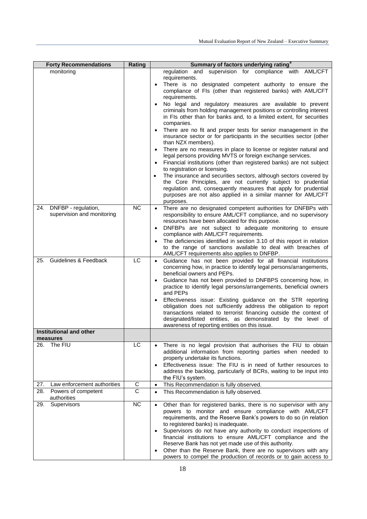|          | <b>Forty Recommendations</b>                          | Rating         | Summary of factors underlying rating <sup>4</sup>                                                                                                                                                                                                                                                                                                                                                                                                                                                                                                                                                                                                                                                                                                                                                                                                                                                                                                                                                                                                                                                                                                                                                    |
|----------|-------------------------------------------------------|----------------|------------------------------------------------------------------------------------------------------------------------------------------------------------------------------------------------------------------------------------------------------------------------------------------------------------------------------------------------------------------------------------------------------------------------------------------------------------------------------------------------------------------------------------------------------------------------------------------------------------------------------------------------------------------------------------------------------------------------------------------------------------------------------------------------------------------------------------------------------------------------------------------------------------------------------------------------------------------------------------------------------------------------------------------------------------------------------------------------------------------------------------------------------------------------------------------------------|
|          | monitoring                                            |                | regulation and supervision for compliance with AML/CFT<br>requirements.<br>There is no designated competent authority to ensure the<br>$\bullet$<br>compliance of FIs (other than registered banks) with AML/CFT<br>requirements.<br>No legal and regulatory measures are available to prevent<br>criminals from holding management positions or controlling interest<br>in FIs other than for banks and, to a limited extent, for securities<br>companies.<br>There are no fit and proper tests for senior management in the<br>$\bullet$<br>insurance sector or for participants in the securities sector (other<br>than NZX members).<br>There are no measures in place to license or register natural and<br>legal persons providing MVTS or foreign exchange services.<br>Financial institutions (other than registered banks) are not subject<br>$\bullet$<br>to registration or licensing.<br>The insurance and securities sectors, although sectors covered by<br>$\bullet$<br>the Core Principles, are not currently subject to prudential<br>regulation and, consequently measures that apply for prudential<br>purposes are not also applied in a similar manner for AML/CFT<br>purposes. |
|          | 24. DNFBP - regulation,<br>supervision and monitoring | <b>NC</b>      | There are no designated competent authorities for DNFBPs with<br>responsibility to ensure AML/CFT compliance, and no supervisory<br>resources have been allocated for this purpose.<br>DNFBPs are not subject to adequate monitoring to ensure<br>compliance with AML/CFT requirements.<br>The deficiencies identified in section 3.10 of this report in relation<br>to the range of sanctions available to deal with breaches of<br>AML/CFT requirements also applies to DNFBP.                                                                                                                                                                                                                                                                                                                                                                                                                                                                                                                                                                                                                                                                                                                     |
| 25.      | Guidelines & Feedback                                 | LC             | Guidance has not been provided for all financial institutions<br>$\bullet$<br>concerning how, in practice to identify legal persons/arrangements,<br>beneficial owners and PEPs.<br>Guidance has not been provided to DNFBPS concerning how, in<br>$\bullet$<br>practice to identify legal persons/arrangements, beneficial owners<br>and PEPs<br>Effectiveness issue: Existing guidance on the STR reporting<br>$\bullet$<br>obligation does not sufficiently address the obligation to report<br>transactions related to terrorist financing outside the context of<br>designated/listed entities, as demonstrated by the level of<br>awareness of reporting entities on this issue.                                                                                                                                                                                                                                                                                                                                                                                                                                                                                                               |
| measures | Institutional and other                               |                |                                                                                                                                                                                                                                                                                                                                                                                                                                                                                                                                                                                                                                                                                                                                                                                                                                                                                                                                                                                                                                                                                                                                                                                                      |
| 26.      | The FIU                                               | LC             | There is no legal provision that authorises the FIU to obtain<br>additional information from reporting parties when needed to<br>properly undertake its functions.<br>Effectiveness issue: The FIU is in need of further resources to<br>$\bullet$<br>address the backlog, particularly of BCRs, waiting to be input into<br>the FIU's system.                                                                                                                                                                                                                                                                                                                                                                                                                                                                                                                                                                                                                                                                                                                                                                                                                                                       |
| 27.      | Law enforcement authorities                           | C              | This Recommendation is fully observed.<br>$\bullet$                                                                                                                                                                                                                                                                                                                                                                                                                                                                                                                                                                                                                                                                                                                                                                                                                                                                                                                                                                                                                                                                                                                                                  |
| 28.      | Powers of competent<br>authorities                    | $\overline{C}$ | This Recommendation is fully observed.<br>$\bullet$                                                                                                                                                                                                                                                                                                                                                                                                                                                                                                                                                                                                                                                                                                                                                                                                                                                                                                                                                                                                                                                                                                                                                  |
| 29.      | Supervisors                                           | <b>NC</b>      | Other than for registered banks, there is no supervisor with any<br>$\bullet$<br>powers to monitor and ensure compliance with AML/CFT<br>requirements, and the Reserve Bank's powers to do so (in relation<br>to registered banks) is inadequate.<br>Supervisors do not have any authority to conduct inspections of<br>$\bullet$<br>financial institutions to ensure AML/CFT compliance and the<br>Reserve Bank has not yet made use of this authority.<br>Other than the Reserve Bank, there are no supervisors with any<br>٠<br>powers to compel the production of records or to gain access to                                                                                                                                                                                                                                                                                                                                                                                                                                                                                                                                                                                                   |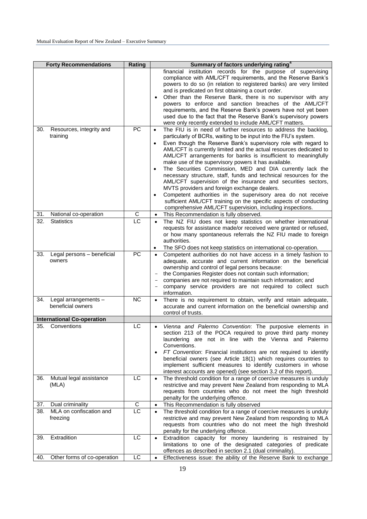|     | <b>Forty Recommendations</b>              | Rating          | Summary of factors underlying rating <sup>4</sup>                                                                                                                                                                                                                                                                                                                                                                                                                                                                                                                                                                                                                                                                                                                                                                                                                                                             |
|-----|-------------------------------------------|-----------------|---------------------------------------------------------------------------------------------------------------------------------------------------------------------------------------------------------------------------------------------------------------------------------------------------------------------------------------------------------------------------------------------------------------------------------------------------------------------------------------------------------------------------------------------------------------------------------------------------------------------------------------------------------------------------------------------------------------------------------------------------------------------------------------------------------------------------------------------------------------------------------------------------------------|
|     |                                           |                 | financial institution records for the purpose of supervising<br>compliance with AML/CFT requirements, and the Reserve Bank's<br>powers to do so (in relation to registered banks) are very limited<br>and is predicated on first obtaining a court order.<br>Other than the Reserve Bank, there is no supervisor with any<br>$\bullet$<br>powers to enforce and sanction breaches of the AML/CFT<br>requirements, and the Reserve Bank's powers have not yet been<br>used due to the fact that the Reserve Bank's supervisory powers<br>were only recently extended to include AML/CFT matters.                                                                                                                                                                                                                                                                                                               |
| 30. | Resources, integrity and<br>training      | PC              | The FIU is in need of further resources to address the backlog,<br>$\bullet$<br>particularly of BCRs, waiting to be input into the FIU's system.<br>Even though the Reserve Bank's supervisory role with regard to<br>$\bullet$<br>AML/CFT is currently limited and the actual resources dedicated to<br>AML/CFT arrangements for banks is insufficient to meaningfully<br>make use of the supervisory powers it has available.<br>The Securities Commission, MED and DIA currently lack the<br>$\bullet$<br>necessary structure, staff, funds and technical resources for the<br>AML/CFT supervision of the insurance and securities sectors,<br>MVTS providers and foreign exchange dealers.<br>Competent authorities in the supervisory area do not receive<br>$\bullet$<br>sufficient AML/CFT training on the specific aspects of conducting<br>comprehensive AML/CFT supervision, including inspections. |
| 31. | National co-operation                     | С               | This Recommendation is fully observed.<br>$\bullet$                                                                                                                                                                                                                                                                                                                                                                                                                                                                                                                                                                                                                                                                                                                                                                                                                                                           |
| 32. | <b>Statistics</b>                         | $\overline{LC}$ | The NZ FIU does not keep statistics on whether international<br>$\bullet$<br>requests for assistance made/or received were granted or refused,<br>or how many spontaneous referrals the NZ FIU made to foreign<br>authorities.<br>The SFO does not keep statistics on international co-operation.<br>٠                                                                                                                                                                                                                                                                                                                                                                                                                                                                                                                                                                                                        |
| 33. | Legal persons - beneficial<br>owners      | <b>PC</b>       | Competent authorities do not have access in a timely fashion to<br>$\bullet$<br>adequate, accurate and current information on the beneficial<br>ownership and control of legal persons because:<br>the Companies Register does not contain such information;<br>companies are not required to maintain such information; and<br>company service providers are not required to collect such<br>information.                                                                                                                                                                                                                                                                                                                                                                                                                                                                                                    |
| 34. | Legal arrangements -<br>beneficial owners | <b>NC</b>       | There is no requirement to obtain, verify and retain adequate,<br>$\bullet$<br>accurate and current information on the beneficial ownership and<br>control of trusts.                                                                                                                                                                                                                                                                                                                                                                                                                                                                                                                                                                                                                                                                                                                                         |
|     | <b>International Co-operation</b>         |                 |                                                                                                                                                                                                                                                                                                                                                                                                                                                                                                                                                                                                                                                                                                                                                                                                                                                                                                               |
| 35. | Conventions                               | LC              | Vienna and Palermo Convention: The purposive elements in<br>$\bullet$<br>section 213 of the POCA required to prove third party money<br>laundering are not in line with the Vienna and Palermo<br>Conventions.<br>FT Convention: Financial institutions are not required to identify<br>$\bullet$<br>beneficial owners (see Article 18(1) which requires countries to<br>implement sufficient measures to identify customers in whose<br>interest accounts are opened) (see section 3.2 of this report).                                                                                                                                                                                                                                                                                                                                                                                                      |
| 36. | Mutual legal assistance<br>(MLA)          | LC              | The threshold condition for a range of coercive measures is unduly<br>$\bullet$<br>restrictive and may prevent New Zealand from responding to MLA<br>requests from countries who do not meet the high threshold<br>penalty for the underlying offence.                                                                                                                                                                                                                                                                                                                                                                                                                                                                                                                                                                                                                                                        |
| 37. | Dual criminality                          | C               | This Recommendation is fully observed<br>$\bullet$                                                                                                                                                                                                                                                                                                                                                                                                                                                                                                                                                                                                                                                                                                                                                                                                                                                            |
| 38. | MLA on confiscation and<br>freezing       | LC              | The threshold condition for a range of coercive measures is unduly<br>$\bullet$<br>restrictive and may prevent New Zealand from responding to MLA<br>requests from countries who do not meet the high threshold<br>penalty for the underlying offence.                                                                                                                                                                                                                                                                                                                                                                                                                                                                                                                                                                                                                                                        |
| 39. | Extradition                               | LC              | Extradition capacity for money laundering is restrained by<br>$\bullet$<br>limitations to one of the designated categories of predicate<br>offences as described in section 2.1 (dual criminality).                                                                                                                                                                                                                                                                                                                                                                                                                                                                                                                                                                                                                                                                                                           |
| 40. | Other forms of co-operation               | LC              | Effectiveness issue: the ability of the Reserve Bank to exchange<br>$\bullet$                                                                                                                                                                                                                                                                                                                                                                                                                                                                                                                                                                                                                                                                                                                                                                                                                                 |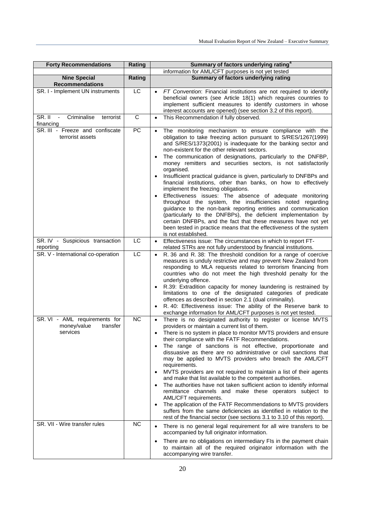| <b>Forty Recommendations</b>                                         | Rating          | Summary of factors underlying rating <sup>4</sup>                                                                                                                                                                                                                                                                                                                                                                                                                                                                                                                                                                                                                                                                                                                                                                                                                                                                                                                                                                           |
|----------------------------------------------------------------------|-----------------|-----------------------------------------------------------------------------------------------------------------------------------------------------------------------------------------------------------------------------------------------------------------------------------------------------------------------------------------------------------------------------------------------------------------------------------------------------------------------------------------------------------------------------------------------------------------------------------------------------------------------------------------------------------------------------------------------------------------------------------------------------------------------------------------------------------------------------------------------------------------------------------------------------------------------------------------------------------------------------------------------------------------------------|
| <b>Nine Special</b>                                                  | Rating          | information for AML/CFT purposes is not yet tested<br>Summary of factors underlying rating                                                                                                                                                                                                                                                                                                                                                                                                                                                                                                                                                                                                                                                                                                                                                                                                                                                                                                                                  |
| <b>Recommendations</b>                                               |                 |                                                                                                                                                                                                                                                                                                                                                                                                                                                                                                                                                                                                                                                                                                                                                                                                                                                                                                                                                                                                                             |
| SR. I - Implement UN instruments                                     | LC              | FT Convention: Financial institutions are not required to identify<br>$\bullet$<br>beneficial owners (see Article 18(1) which requires countries to<br>implement sufficient measures to identify customers in whose<br>interest accounts are opened) (see section 3.2 of this report).                                                                                                                                                                                                                                                                                                                                                                                                                                                                                                                                                                                                                                                                                                                                      |
| SR.II<br>$\sim$<br>Criminalise<br>terrorist<br>financing             | $\mathbf C$     | This Recommendation if fully observed.<br>$\bullet$                                                                                                                                                                                                                                                                                                                                                                                                                                                                                                                                                                                                                                                                                                                                                                                                                                                                                                                                                                         |
| SR. III - Freeze and confiscate<br>terrorist assets                  | $\overline{PC}$ | The monitoring mechanism to ensure compliance with the<br>$\bullet$<br>obligation to take freezing action pursuant to S/RES/1267(1999)<br>and S/RES/1373(2001) is inadequate for the banking sector and<br>non-existent for the other relevant sectors.<br>The communication of designations, particularly to the DNFBP,<br>$\bullet$<br>money remitters and securities sectors, is not satisfactorily<br>organised.<br>Insufficient practical guidance is given, particularly to DNFBPs and<br>financial institutions, other than banks, on how to effectively<br>implement the freezing obligations.<br>Effectiveness issues: The absence of adequate monitoring<br>throughout the system, the insufficiencies noted regarding                                                                                                                                                                                                                                                                                            |
|                                                                      |                 | guidance to the non-bank reporting entities and communication<br>(particularly to the DNFBPs), the deficient implementation by<br>certain DNFBPs, and the fact that these measures have not yet<br>been tested in practice means that the effectiveness of the system<br>is not established.                                                                                                                                                                                                                                                                                                                                                                                                                                                                                                                                                                                                                                                                                                                                |
| SR. IV - Suspicious transaction<br>reporting                         | LC              | Effectiveness issue: The circumstances in which to report FT-<br>$\bullet$<br>related STRs are not fully understood by financial institutions.                                                                                                                                                                                                                                                                                                                                                                                                                                                                                                                                                                                                                                                                                                                                                                                                                                                                              |
| SR. V - International co-operation                                   | LC              | R. 36 and R. 38: The threshold condition for a range of coercive<br>$\bullet$<br>measures is unduly restrictive and may prevent New Zealand from<br>responding to MLA requests related to terrorism financing from<br>countries who do not meet the high threshold penalty for the<br>underlying offence.<br>R.39: Extradition capacity for money laundering is restrained by<br>$\bullet$<br>limitations to one of the designated categories of predicate<br>offences as described in section 2.1 (dual criminality).<br>R. 40: Effectiveness issue: The ability of the Reserve bank to<br>exchange information for AML/CFT purposes is not yet tested.                                                                                                                                                                                                                                                                                                                                                                    |
| SR. VI - AML requirements for<br>money/value<br>transfer<br>services | <b>NC</b>       | There is no designated authority to register or license MVTS<br>$\bullet$<br>providers or maintain a current list of them.<br>There is no system in place to monitor MVTS providers and ensure<br>their compliance with the FATF Recommendations.<br>The range of sanctions is not effective, proportionate and<br>$\bullet$<br>dissuasive as there are no administrative or civil sanctions that<br>may be applied to MVTS providers who breach the AML/CFT<br>requirements.<br>MVTS providers are not required to maintain a list of their agents<br>$\bullet$<br>and make that list available to the competent authorities.<br>The authorities have not taken sufficient action to identify informal<br>remittance channels and make these operators subject to<br>AML/CFT requirements.<br>The application of the FATF Recommendations to MVTS providers<br>$\bullet$<br>suffers from the same deficiencies as identified in relation to the<br>rest of the financial sector (see sections 3.1 to 3.10 of this report). |
| SR. VII - Wire transfer rules                                        | <b>NC</b>       | There is no general legal requirement for all wire transfers to be<br>$\bullet$<br>accompanied by full originator information.<br>There are no obligations on intermediary FIs in the payment chain<br>$\bullet$<br>to maintain all of the required originator information with the<br>accompanying wire transfer.                                                                                                                                                                                                                                                                                                                                                                                                                                                                                                                                                                                                                                                                                                          |